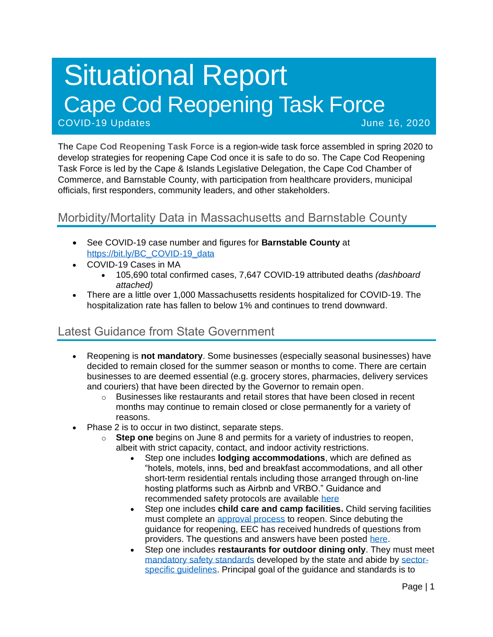# Situational Report Cape Cod Reopening Task Force COVID-19 Updates June 16, 2020

The **Cape Cod Reopening Task Force** is a region-wide task force assembled in spring 2020 to develop strategies for reopening Cape Cod once it is safe to do so. The Cape Cod Reopening Task Force is led by the Cape & Islands Legislative Delegation, the Cape Cod Chamber of Commerce, and Barnstable County, with participation from healthcare providers, municipal officials, first responders, community leaders, and other stakeholders.

# Morbidity/Mortality Data in Massachusetts and Barnstable County

- See COVID-19 case number and figures for **Barnstable County** at [https://bit.ly/BC\\_COVID-19\\_data](https://bit.ly/BC_COVID-19_data)
- COVID-19 Cases in MA
	- 105,690 total confirmed cases, 7,647 COVID-19 attributed deaths *(dashboard attached)*
- There are a little over 1,000 Massachusetts residents hospitalized for COVID-19. The hospitalization rate has fallen to below 1% and continues to trend downward.

# Latest Guidance from State Government

- Reopening is **not mandatory**. Some businesses (especially seasonal businesses) have decided to remain closed for the summer season or months to come. There are certain businesses to are deemed essential (e.g. grocery stores, pharmacies, delivery services and couriers) that have been directed by the Governor to remain open.
	- $\circ$  Businesses like restaurants and retail stores that have been closed in recent months may continue to remain closed or close permanently for a variety of reasons.
- Phase 2 is to occur in two distinct, separate steps.
	- o **Step one** begins on June 8 and permits for a variety of industries to reopen, albeit with strict capacity, contact, and indoor activity restrictions.
		- Step one includes **lodging accommodations**, which are defined as "hotels, motels, inns, bed and breakfast accommodations, and all other short-term residential rentals including those arranged through on-line hosting platforms such as Airbnb and VRBO." Guidance and recommended safety protocols are available [here](https://www.mass.gov/info-details/safety-standards-and-checklist-operators-of-lodgings)
		- Step one includes **child care and camp facilities.** Child serving facilities must complete an [approval process](https://eeclead.force.com/resource/1591618751000/ReopeningProcessOverview) to reopen. Since debuting the guidance for reopening, EEC has received hundreds of questions from providers. The questions and answers have been posted [here.](https://eeclead.force.com/resource/1591618750000/FAQ_Min_Req)
		- Step one includes **restaurants for outdoor dining only**. They must meet [mandatory safety standards](https://www.mass.gov/doc/restaurants-protocol-summary-english/download) developed by the state and abide by [sector](https://www.mass.gov/info-details/safety-standards-and-checklist-restaurants#quick-reference-documents-)[specific guidelines.](https://www.mass.gov/info-details/safety-standards-and-checklist-restaurants#quick-reference-documents-) Principal goal of the guidance and standards is to